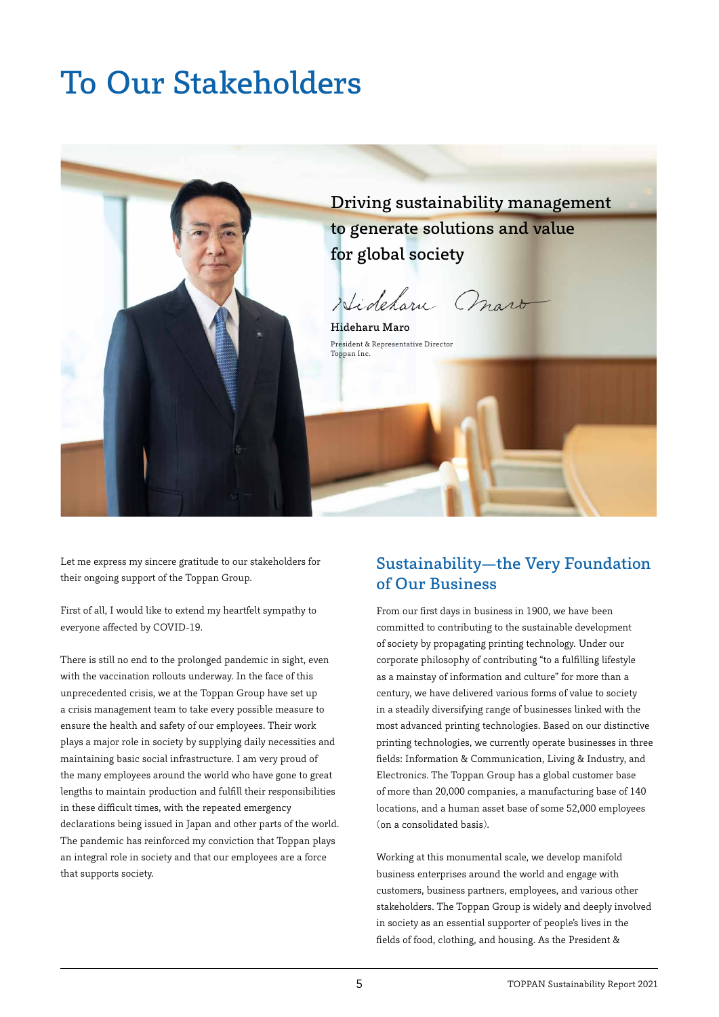# To Our Stakeholders



Let me express my sincere gratitude to our stakeholders for their ongoing support of the Toppan Group.

First of all, I would like to extend my heartfelt sympathy to everyone affected by COVID-19.

There is still no end to the prolonged pandemic in sight, even with the vaccination rollouts underway. In the face of this unprecedented crisis, we at the Toppan Group have set up a crisis management team to take every possible measure to ensure the health and safety of our employees. Their work plays a major role in society by supplying daily necessities and maintaining basic social infrastructure. I am very proud of the many employees around the world who have gone to great lengths to maintain production and fulfill their responsibilities in these difficult times, with the repeated emergency declarations being issued in Japan and other parts of the world. The pandemic has reinforced my conviction that Toppan plays an integral role in society and that our employees are a force that supports society.

#### Sustainability—the Very Foundation of Our Business

From our first days in business in 1900, we have been committed to contributing to the sustainable development of society by propagating printing technology. Under our corporate philosophy of contributing "to a fulfilling lifestyle as a mainstay of information and culture" for more than a century, we have delivered various forms of value to society in a steadily diversifying range of businesses linked with the most advanced printing technologies. Based on our distinctive printing technologies, we currently operate businesses in three fields: Information & Communication, Living & Industry, and Electronics. The Toppan Group has a global customer base of more than 20,000 companies, a manufacturing base of 140 locations, and a human asset base of some 52,000 employees (on a consolidated basis).

Working at this monumental scale, we develop manifold business enterprises around the world and engage with customers, business partners, employees, and various other stakeholders. The Toppan Group is widely and deeply involved in society as an essential supporter of people's lives in the fields of food, clothing, and housing. As the President &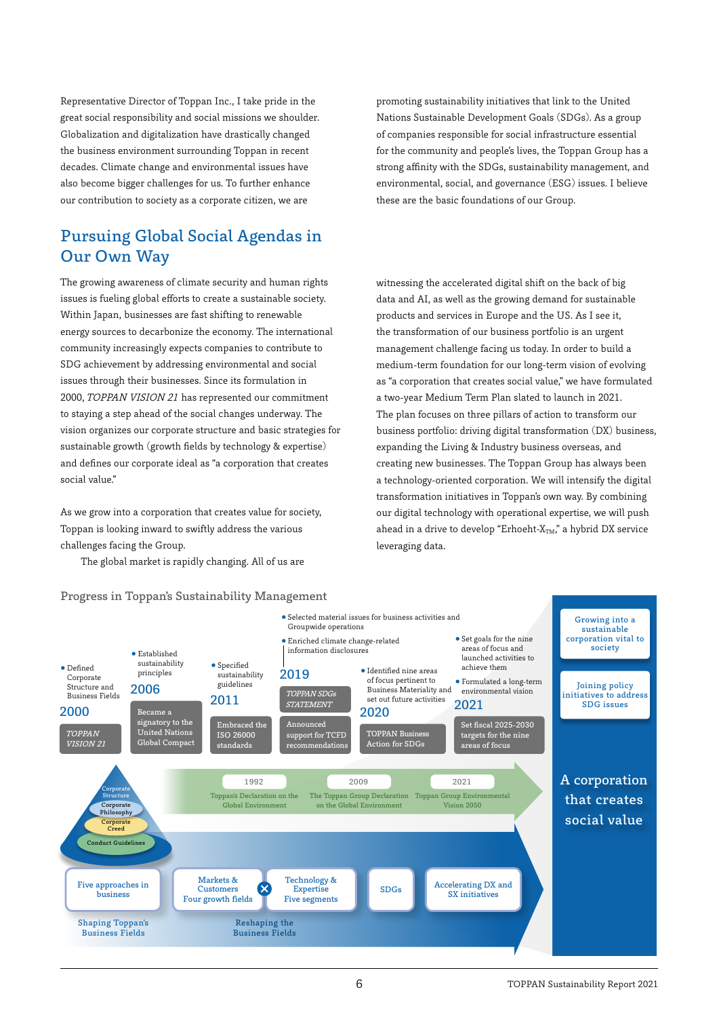Representative Director of Toppan Inc., I take pride in the great social responsibility and social missions we shoulder. Globalization and digitalization have drastically changed the business environment surrounding Toppan in recent decades. Climate change and environmental issues have also become bigger challenges for us. To further enhance our contribution to society as a corporate citizen, we are

### Pursuing Global Social Agendas in Our Own Way

The growing awareness of climate security and human rights issues is fueling global efforts to create a sustainable society. Within Japan, businesses are fast shifting to renewable energy sources to decarbonize the economy. The international community increasingly expects companies to contribute to SDG achievement by addressing environmental and social issues through their businesses. Since its formulation in 2000, TOPPAN VISION 21 has represented our commitment to staying a step ahead of the social changes underway. The vision organizes our corporate structure and basic strategies for sustainable growth (growth fields by technology & expertise) and defines our corporate ideal as "a corporation that creates social value."

As we grow into a corporation that creates value for society, Toppan is looking inward to swiftly address the various challenges facing the Group.

The global market is rapidly changing. All of us are

#### Progress in Toppan's Sustainability Management

promoting sustainability initiatives that link to the United Nations Sustainable Development Goals (SDGs). As a group of companies responsible for social infrastructure essential for the community and people's lives, the Toppan Group has a strong affinity with the SDGs, sustainability management, and environmental, social, and governance (ESG) issues. I believe these are the basic foundations of our Group.

witnessing the accelerated digital shift on the back of big data and AI, as well as the growing demand for sustainable products and services in Europe and the US. As I see it, the transformation of our business portfolio is an urgent management challenge facing us today. In order to build a medium-term foundation for our long-term vision of evolving as "a corporation that creates social value," we have formulated a two-year Medium Term Plan slated to launch in 2021. The plan focuses on three pillars of action to transform our business portfolio: driving digital transformation (DX) business, expanding the Living & Industry business overseas, and creating new businesses. The Toppan Group has always been a technology-oriented corporation. We will intensify the digital transformation initiatives in Toppan's own way. By combining our digital technology with operational expertise, we will push ahead in a drive to develop "Erhoeht- $X_{TM}$ " a hybrid DX service leveraging data.